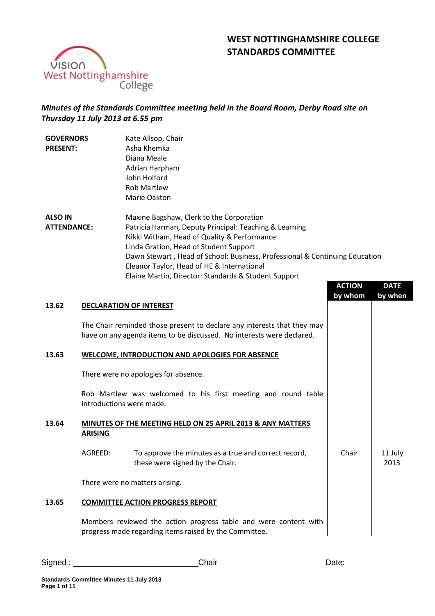



# *Minutes of the Standards Committee meeting held in the Board Room, Derby Road site on Thursday 11 July 2013 at 6.55 pm*

| <b>GOVERNORS</b><br><b>PRESENT:</b>  |                | Kate Allsop, Chair<br>Asha Khemka<br>Diana Meale<br>Adrian Harpham<br>John Holford<br><b>Rob Martlew</b><br>Marie Oakton                                                                                                                                                                                                                                                         |               |                 |
|--------------------------------------|----------------|----------------------------------------------------------------------------------------------------------------------------------------------------------------------------------------------------------------------------------------------------------------------------------------------------------------------------------------------------------------------------------|---------------|-----------------|
| <b>ALSO IN</b><br><b>ATTENDANCE:</b> |                | Maxine Bagshaw, Clerk to the Corporation<br>Patricia Harman, Deputy Principal: Teaching & Learning<br>Nikki Witham, Head of Quality & Performance<br>Linda Gration, Head of Student Support<br>Dawn Stewart, Head of School: Business, Professional & Continuing Education<br>Eleanor Taylor, Head of HE & International<br>Elaine Martin, Director: Standards & Student Support | <b>ACTION</b> | <b>DATE</b>     |
| 13.62                                |                | <b>DECLARATION OF INTEREST</b>                                                                                                                                                                                                                                                                                                                                                   | by whom       | by when         |
|                                      |                | The Chair reminded those present to declare any interests that they may<br>have on any agenda items to be discussed. No interests were declared.                                                                                                                                                                                                                                 |               |                 |
| 13.63                                |                | <b>WELCOME, INTRODUCTION AND APOLOGIES FOR ABSENCE</b>                                                                                                                                                                                                                                                                                                                           |               |                 |
|                                      |                | There were no apologies for absence.                                                                                                                                                                                                                                                                                                                                             |               |                 |
|                                      |                | Rob Martlew was welcomed to his first meeting and round table<br>introductions were made.                                                                                                                                                                                                                                                                                        |               |                 |
| 13.64                                | <b>ARISING</b> | MINUTES OF THE MEETING HELD ON 25 APRIL 2013 & ANY MATTERS                                                                                                                                                                                                                                                                                                                       |               |                 |
|                                      | AGREED:        | To approve the minutes as a true and correct record,<br>these were signed by the Chair.                                                                                                                                                                                                                                                                                          | Chair         | 11 July<br>2013 |
|                                      |                | There were no matters arising.                                                                                                                                                                                                                                                                                                                                                   |               |                 |
| 13.65                                |                | <b>COMMITTEE ACTION PROGRESS REPORT</b>                                                                                                                                                                                                                                                                                                                                          |               |                 |
|                                      |                | Members reviewed the action progress table and were content with<br>progress made regarding items raised by the Committee.                                                                                                                                                                                                                                                       |               |                 |

Signed : \_\_\_\_\_\_\_\_\_\_\_\_\_\_\_\_\_\_\_\_\_\_\_\_\_\_\_\_Chair Date: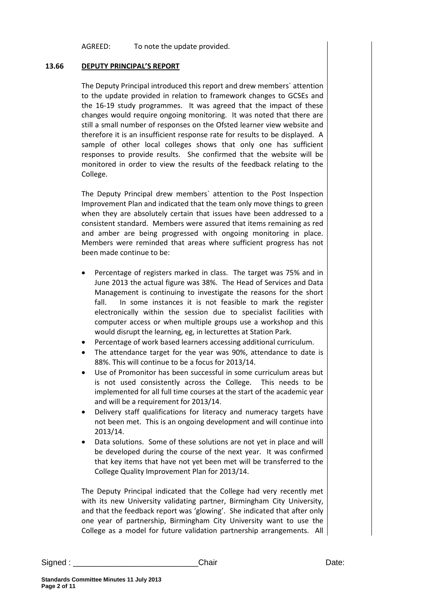AGREED: To note the update provided.

## **13.66 DEPUTY PRINCIPAL'S REPORT**

The Deputy Principal introduced this report and drew members` attention to the update provided in relation to framework changes to GCSEs and the 16-19 study programmes. It was agreed that the impact of these changes would require ongoing monitoring. It was noted that there are still a small number of responses on the Ofsted learner view website and therefore it is an insufficient response rate for results to be displayed. A sample of other local colleges shows that only one has sufficient responses to provide results. She confirmed that the website will be monitored in order to view the results of the feedback relating to the College.

The Deputy Principal drew members` attention to the Post Inspection Improvement Plan and indicated that the team only move things to green when they are absolutely certain that issues have been addressed to a consistent standard. Members were assured that items remaining as red and amber are being progressed with ongoing monitoring in place. Members were reminded that areas where sufficient progress has not been made continue to be:

- Percentage of registers marked in class. The target was 75% and in June 2013 the actual figure was 38%. The Head of Services and Data Management is continuing to investigate the reasons for the short fall. In some instances it is not feasible to mark the register electronically within the session due to specialist facilities with computer access or when multiple groups use a workshop and this would disrupt the learning, eg, in lecturettes at Station Park.
- Percentage of work based learners accessing additional curriculum.
- The attendance target for the year was 90%, attendance to date is 88%. This will continue to be a focus for 2013/14.
- Use of Promonitor has been successful in some curriculum areas but is not used consistently across the College. This needs to be implemented for all full time courses at the start of the academic year and will be a requirement for 2013/14.
- Delivery staff qualifications for literacy and numeracy targets have not been met. This is an ongoing development and will continue into 2013/14.
- Data solutions. Some of these solutions are not yet in place and will be developed during the course of the next year. It was confirmed that key items that have not yet been met will be transferred to the College Quality Improvement Plan for 2013/14.

The Deputy Principal indicated that the College had very recently met with its new University validating partner, Birmingham City University, and that the feedback report was 'glowing'. She indicated that after only one year of partnership, Birmingham City University want to use the College as a model for future validation partnership arrangements. All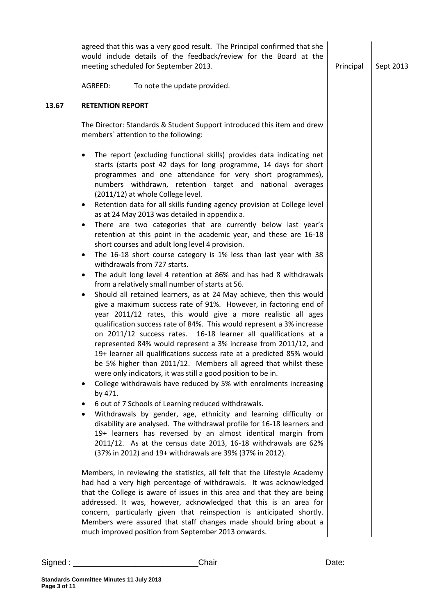| Signed : | Chair                                                                                                                                                                                                                                                                                                                                                                                                                                                                                                                                                                                                                                                                                                                                                                                                                                                                                                                                                                                                                                                                                                                                                                                                                                                                                                                                                                                                                                                                                                                                                                                                                                                                                                                                                                                                                                                                                                                                                                                                                               | Date:     |           |
|----------|-------------------------------------------------------------------------------------------------------------------------------------------------------------------------------------------------------------------------------------------------------------------------------------------------------------------------------------------------------------------------------------------------------------------------------------------------------------------------------------------------------------------------------------------------------------------------------------------------------------------------------------------------------------------------------------------------------------------------------------------------------------------------------------------------------------------------------------------------------------------------------------------------------------------------------------------------------------------------------------------------------------------------------------------------------------------------------------------------------------------------------------------------------------------------------------------------------------------------------------------------------------------------------------------------------------------------------------------------------------------------------------------------------------------------------------------------------------------------------------------------------------------------------------------------------------------------------------------------------------------------------------------------------------------------------------------------------------------------------------------------------------------------------------------------------------------------------------------------------------------------------------------------------------------------------------------------------------------------------------------------------------------------------------|-----------|-----------|
|          | (37% in 2012) and 19+ withdrawals are 39% (37% in 2012).<br>Members, in reviewing the statistics, all felt that the Lifestyle Academy<br>had had a very high percentage of withdrawals. It was acknowledged<br>that the College is aware of issues in this area and that they are being<br>addressed. It was, however, acknowledged that this is an area for<br>concern, particularly given that reinspection is anticipated shortly.<br>Members were assured that staff changes made should bring about a<br>much improved position from September 2013 onwards.                                                                                                                                                                                                                                                                                                                                                                                                                                                                                                                                                                                                                                                                                                                                                                                                                                                                                                                                                                                                                                                                                                                                                                                                                                                                                                                                                                                                                                                                   |           |           |
|          | members' attention to the following:<br>The report (excluding functional skills) provides data indicating net<br>starts (starts post 42 days for long programme, 14 days for short<br>programmes and one attendance for very short programmes),<br>numbers withdrawn, retention target and national averages<br>(2011/12) at whole College level.<br>Retention data for all skills funding agency provision at College level<br>$\bullet$<br>as at 24 May 2013 was detailed in appendix a.<br>There are two categories that are currently below last year's<br>$\bullet$<br>retention at this point in the academic year, and these are 16-18<br>short courses and adult long level 4 provision.<br>The 16-18 short course category is 1% less than last year with 38<br>٠<br>withdrawals from 727 starts.<br>The adult long level 4 retention at 86% and has had 8 withdrawals<br>$\bullet$<br>from a relatively small number of starts at 56.<br>Should all retained learners, as at 24 May achieve, then this would<br>give a maximum success rate of 91%. However, in factoring end of<br>year 2011/12 rates, this would give a more realistic all ages<br>qualification success rate of 84%. This would represent a 3% increase<br>on 2011/12 success rates. 16-18 learner all qualifications at a<br>represented 84% would represent a 3% increase from 2011/12, and<br>19+ learner all qualifications success rate at a predicted 85% would<br>be 5% higher than 2011/12. Members all agreed that whilst these<br>were only indicators, it was still a good position to be in.<br>College withdrawals have reduced by 5% with enrolments increasing<br>$\bullet$<br>by 471.<br>6 out of 7 Schools of Learning reduced withdrawals.<br>٠<br>Withdrawals by gender, age, ethnicity and learning difficulty or<br>٠<br>disability are analysed. The withdrawal profile for 16-18 learners and<br>19+ learners has reversed by an almost identical margin from<br>2011/12. As at the census date 2013, 16-18 withdrawals are 62% |           |           |
| 13.67    | <b>RETENTION REPORT</b><br>The Director: Standards & Student Support introduced this item and drew                                                                                                                                                                                                                                                                                                                                                                                                                                                                                                                                                                                                                                                                                                                                                                                                                                                                                                                                                                                                                                                                                                                                                                                                                                                                                                                                                                                                                                                                                                                                                                                                                                                                                                                                                                                                                                                                                                                                  |           |           |
|          | To note the update provided.<br>AGREED:                                                                                                                                                                                                                                                                                                                                                                                                                                                                                                                                                                                                                                                                                                                                                                                                                                                                                                                                                                                                                                                                                                                                                                                                                                                                                                                                                                                                                                                                                                                                                                                                                                                                                                                                                                                                                                                                                                                                                                                             |           |           |
|          | agreed that this was a very good result. The Principal confirmed that she<br>would include details of the feedback/review for the Board at the<br>meeting scheduled for September 2013.                                                                                                                                                                                                                                                                                                                                                                                                                                                                                                                                                                                                                                                                                                                                                                                                                                                                                                                                                                                                                                                                                                                                                                                                                                                                                                                                                                                                                                                                                                                                                                                                                                                                                                                                                                                                                                             | Principal | Sept 2013 |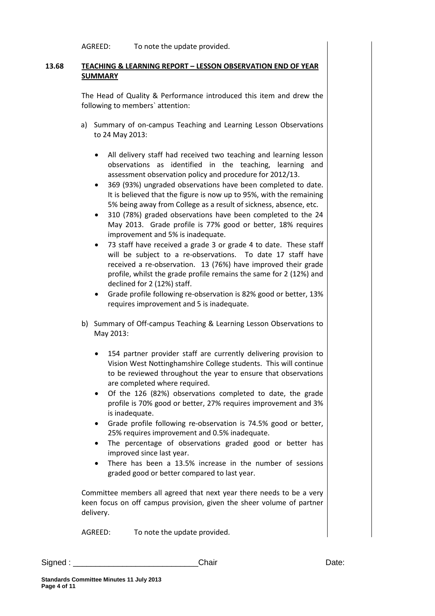AGREED: To note the update provided.

## **13.68 TEACHING & LEARNING REPORT – LESSON OBSERVATION END OF YEAR SUMMARY**

The Head of Quality & Performance introduced this item and drew the following to members` attention:

- a) Summary of on-campus Teaching and Learning Lesson Observations to 24 May 2013:
	- All delivery staff had received two teaching and learning lesson observations as identified in the teaching, learning and assessment observation policy and procedure for 2012/13.
	- 369 (93%) ungraded observations have been completed to date. It is believed that the figure is now up to 95%, with the remaining 5% being away from College as a result of sickness, absence, etc.
	- 310 (78%) graded observations have been completed to the 24 May 2013. Grade profile is 77% good or better, 18% requires improvement and 5% is inadequate.
	- 73 staff have received a grade 3 or grade 4 to date. These staff will be subject to a re-observations. To date 17 staff have received a re-observation. 13 (76%) have improved their grade profile, whilst the grade profile remains the same for 2 (12%) and declined for 2 (12%) staff.
	- Grade profile following re-observation is 82% good or better, 13% requires improvement and 5 is inadequate.
- b) Summary of Off-campus Teaching & Learning Lesson Observations to May 2013:
	- 154 partner provider staff are currently delivering provision to Vision West Nottinghamshire College students. This will continue to be reviewed throughout the year to ensure that observations are completed where required.
	- Of the 126 (82%) observations completed to date, the grade profile is 70% good or better, 27% requires improvement and 3% is inadequate.
	- Grade profile following re-observation is 74.5% good or better, 25% requires improvement and 0.5% inadequate.
	- The percentage of observations graded good or better has improved since last year.
	- There has been a 13.5% increase in the number of sessions graded good or better compared to last year.

Committee members all agreed that next year there needs to be a very keen focus on off campus provision, given the sheer volume of partner delivery.

AGREED: To note the update provided.

Signed : \_\_\_\_\_\_\_\_\_\_\_\_\_\_\_\_\_\_\_\_\_\_\_\_\_\_\_\_Chair Date: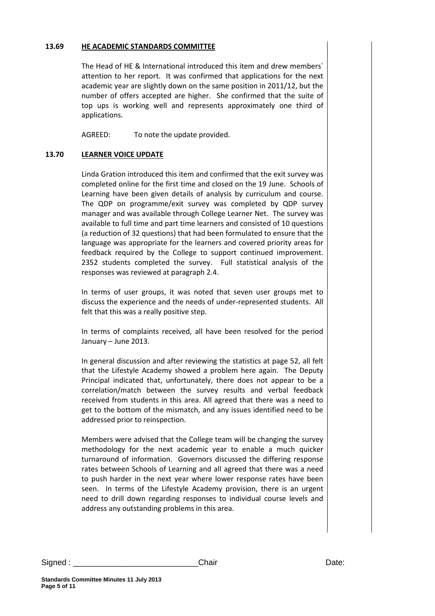## **13.69 HE ACADEMIC STANDARDS COMMITTEE**

The Head of HE & International introduced this item and drew members` attention to her report. It was confirmed that applications for the next academic year are slightly down on the same position in 2011/12, but the number of offers accepted are higher. She confirmed that the suite of top ups is working well and represents approximately one third of applications.

AGREED: To note the update provided.

## **13.70 LEARNER VOICE UPDATE**

Linda Gration introduced this item and confirmed that the exit survey was completed online for the first time and closed on the 19 June. Schools of Learning have been given details of analysis by curriculum and course. The QDP on programme/exit survey was completed by QDP survey manager and was available through College Learner Net. The survey was available to full time and part time learners and consisted of 10 questions (a reduction of 32 questions) that had been formulated to ensure that the language was appropriate for the learners and covered priority areas for feedback required by the College to support continued improvement. 2352 students completed the survey. Full statistical analysis of the responses was reviewed at paragraph 2.4.

In terms of user groups, it was noted that seven user groups met to discuss the experience and the needs of under-represented students. All felt that this was a really positive step.

In terms of complaints received, all have been resolved for the period January – June 2013.

In general discussion and after reviewing the statistics at page 52, all felt that the Lifestyle Academy showed a problem here again. The Deputy Principal indicated that, unfortunately, there does not appear to be a correlation/match between the survey results and verbal feedback received from students in this area. All agreed that there was a need to get to the bottom of the mismatch, and any issues identified need to be addressed prior to reinspection.

Members were advised that the College team will be changing the survey methodology for the next academic year to enable a much quicker turnaround of information. Governors discussed the differing response rates between Schools of Learning and all agreed that there was a need to push harder in the next year where lower response rates have been seen. In terms of the Lifestyle Academy provision, there is an urgent need to drill down regarding responses to individual course levels and address any outstanding problems in this area.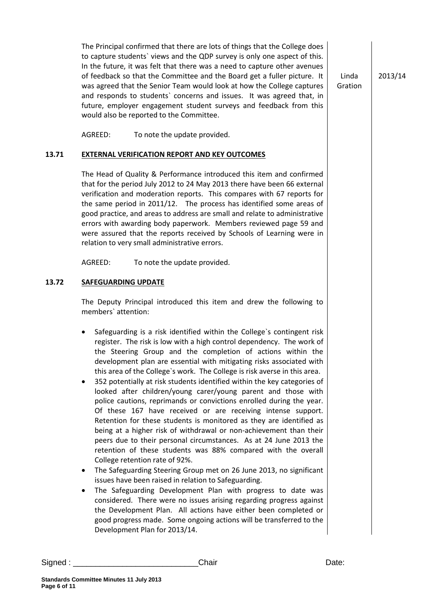The Principal confirmed that there are lots of things that the College does to capture students` views and the QDP survey is only one aspect of this. In the future, it was felt that there was a need to capture other avenues of feedback so that the Committee and the Board get a fuller picture. It was agreed that the Senior Team would look at how the College captures and responds to students` concerns and issues. It was agreed that, in future, employer engagement student surveys and feedback from this would also be reported to the Committee.

Linda Gration 2013/14

AGREED: To note the update provided.

## **13.71 EXTERNAL VERIFICATION REPORT AND KEY OUTCOMES**

The Head of Quality & Performance introduced this item and confirmed that for the period July 2012 to 24 May 2013 there have been 66 external verification and moderation reports. This compares with 67 reports for the same period in 2011/12. The process has identified some areas of good practice, and areas to address are small and relate to administrative errors with awarding body paperwork. Members reviewed page 59 and were assured that the reports received by Schools of Learning were in relation to very small administrative errors.

AGREED: To note the update provided.

#### **13.72 SAFEGUARDING UPDATE**

The Deputy Principal introduced this item and drew the following to members` attention:

- Safeguarding is a risk identified within the College`s contingent risk register. The risk is low with a high control dependency. The work of the Steering Group and the completion of actions within the development plan are essential with mitigating risks associated with this area of the College`s work. The College is risk averse in this area.
- 352 potentially at risk students identified within the key categories of looked after children/young carer/young parent and those with police cautions, reprimands or convictions enrolled during the year. Of these 167 have received or are receiving intense support. Retention for these students is monitored as they are identified as being at a higher risk of withdrawal or non-achievement than their peers due to their personal circumstances. As at 24 June 2013 the retention of these students was 88% compared with the overall College retention rate of 92%.
- The Safeguarding Steering Group met on 26 June 2013, no significant issues have been raised in relation to Safeguarding.
- The Safeguarding Development Plan with progress to date was considered. There were no issues arising regarding progress against the Development Plan. All actions have either been completed or good progress made. Some ongoing actions will be transferred to the Development Plan for 2013/14.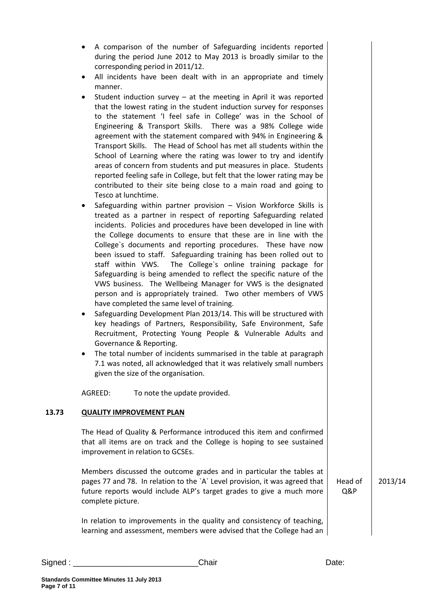- All incidents have been dealt with in an appropriate and timely manner.
- Student induction survey at the meeting in April it was reported that the lowest rating in the student induction survey for responses to the statement 'I feel safe in College' was in the School of Engineering & Transport Skills. There was a 98% College wide agreement with the statement compared with 94% in Engineering & Transport Skills. The Head of School has met all students within the School of Learning where the rating was lower to try and identify areas of concern from students and put measures in place. Students reported feeling safe in College, but felt that the lower rating may be contributed to their site being close to a main road and going to Tesco at lunchtime.
- Safeguarding within partner provision Vision Workforce Skills is treated as a partner in respect of reporting Safeguarding related incidents. Policies and procedures have been developed in line with the College documents to ensure that these are in line with the College`s documents and reporting procedures. These have now been issued to staff. Safeguarding training has been rolled out to staff within VWS. The College`s online training package for Safeguarding is being amended to reflect the specific nature of the VWS business. The Wellbeing Manager for VWS is the designated person and is appropriately trained. Two other members of VWS have completed the same level of training.
- Safeguarding Development Plan 2013/14. This will be structured with key headings of Partners, Responsibility, Safe Environment, Safe Recruitment, Protecting Young People & Vulnerable Adults and Governance & Reporting.
- The total number of incidents summarised in the table at paragraph 7.1 was noted, all acknowledged that it was relatively small numbers given the size of the organisation.

AGREED: To note the update provided.

## **13.73 QUALITY IMPROVEMENT PLAN**

The Head of Quality & Performance introduced this item and confirmed that all items are on track and the College is hoping to see sustained improvement in relation to GCSEs.

Members discussed the outcome grades and in particular the tables at pages 77 and 78. In relation to the `A` Level provision, it was agreed that future reports would include ALP's target grades to give a much more complete picture.

2013/14

In relation to improvements in the quality and consistency of teaching, learning and assessment, members were advised that the College had an Head of Q&P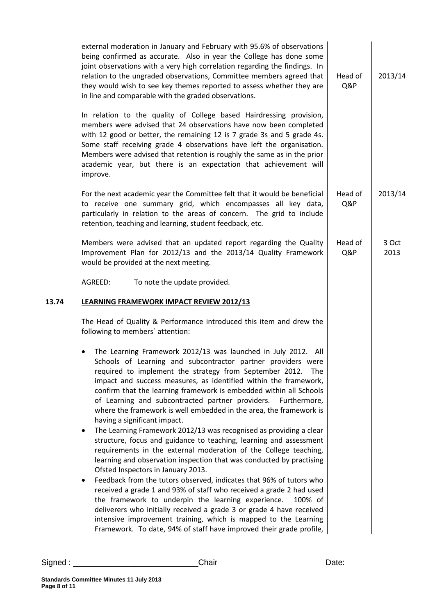| external moderation in January and February with 95.6% of observations<br>being confirmed as accurate. Also in year the College has done some<br>joint observations with a very high correlation regarding the findings. In<br>relation to the ungraded observations, Committee members agreed that<br>they would wish to see key themes reported to assess whether they are<br>in line and comparable with the graded observations.                                                                                                                                                                                                                                                                                                                                                                                                                                                                                                                                                                                                                                                                                                                                                                                                                                                 | Head of<br>Q&P | 2013/14       |
|--------------------------------------------------------------------------------------------------------------------------------------------------------------------------------------------------------------------------------------------------------------------------------------------------------------------------------------------------------------------------------------------------------------------------------------------------------------------------------------------------------------------------------------------------------------------------------------------------------------------------------------------------------------------------------------------------------------------------------------------------------------------------------------------------------------------------------------------------------------------------------------------------------------------------------------------------------------------------------------------------------------------------------------------------------------------------------------------------------------------------------------------------------------------------------------------------------------------------------------------------------------------------------------|----------------|---------------|
| In relation to the quality of College based Hairdressing provision,<br>members were advised that 24 observations have now been completed<br>with 12 good or better, the remaining 12 is 7 grade 3s and 5 grade 4s.<br>Some staff receiving grade 4 observations have left the organisation.<br>Members were advised that retention is roughly the same as in the prior<br>academic year, but there is an expectation that achievement will<br>improve.                                                                                                                                                                                                                                                                                                                                                                                                                                                                                                                                                                                                                                                                                                                                                                                                                               |                |               |
| For the next academic year the Committee felt that it would be beneficial<br>to receive one summary grid, which encompasses all key data,<br>particularly in relation to the areas of concern. The grid to include<br>retention, teaching and learning, student feedback, etc.                                                                                                                                                                                                                                                                                                                                                                                                                                                                                                                                                                                                                                                                                                                                                                                                                                                                                                                                                                                                       | Head of<br>Q&P | 2013/14       |
| Members were advised that an updated report regarding the Quality<br>Improvement Plan for 2012/13 and the 2013/14 Quality Framework<br>would be provided at the next meeting.                                                                                                                                                                                                                                                                                                                                                                                                                                                                                                                                                                                                                                                                                                                                                                                                                                                                                                                                                                                                                                                                                                        | Head of<br>Q&P | 3 Oct<br>2013 |
| AGREED:<br>To note the update provided.                                                                                                                                                                                                                                                                                                                                                                                                                                                                                                                                                                                                                                                                                                                                                                                                                                                                                                                                                                                                                                                                                                                                                                                                                                              |                |               |
| <b>LEARNING FRAMEWORK IMPACT REVIEW 2012/13</b>                                                                                                                                                                                                                                                                                                                                                                                                                                                                                                                                                                                                                                                                                                                                                                                                                                                                                                                                                                                                                                                                                                                                                                                                                                      |                |               |
| The Head of Quality & Performance introduced this item and drew the<br>following to members' attention:                                                                                                                                                                                                                                                                                                                                                                                                                                                                                                                                                                                                                                                                                                                                                                                                                                                                                                                                                                                                                                                                                                                                                                              |                |               |
| The Learning Framework 2012/13 was launched in July 2012. All<br>Schools of Learning and subcontractor partner providers were<br>required to implement the strategy from September 2012. The<br>impact and success measures, as identified within the framework,<br>confirm that the learning framework is embedded within all Schools<br>of Learning and subcontracted partner providers.<br>Furthermore,<br>where the framework is well embedded in the area, the framework is<br>having a significant impact.<br>The Learning Framework 2012/13 was recognised as providing a clear<br>structure, focus and guidance to teaching, learning and assessment<br>requirements in the external moderation of the College teaching,<br>learning and observation inspection that was conducted by practising<br>Ofsted Inspectors in January 2013.<br>Feedback from the tutors observed, indicates that 96% of tutors who<br>٠<br>received a grade 1 and 93% of staff who received a grade 2 had used<br>the framework to underpin the learning experience.<br>100% of<br>deliverers who initially received a grade 3 or grade 4 have received<br>intensive improvement training, which is mapped to the Learning<br>Framework. To date, 94% of staff have improved their grade profile, |                |               |
|                                                                                                                                                                                                                                                                                                                                                                                                                                                                                                                                                                                                                                                                                                                                                                                                                                                                                                                                                                                                                                                                                                                                                                                                                                                                                      |                |               |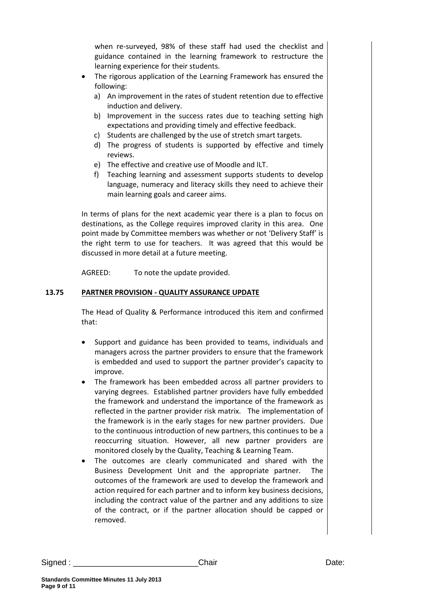when re-surveyed, 98% of these staff had used the checklist and guidance contained in the learning framework to restructure the learning experience for their students.

- The rigorous application of the Learning Framework has ensured the following:
	- a) An improvement in the rates of student retention due to effective induction and delivery.
	- b) Improvement in the success rates due to teaching setting high expectations and providing timely and effective feedback.
	- c) Students are challenged by the use of stretch smart targets.
	- d) The progress of students is supported by effective and timely reviews.
	- e) The effective and creative use of Moodle and ILT.
	- f) Teaching learning and assessment supports students to develop language, numeracy and literacy skills they need to achieve their main learning goals and career aims.

In terms of plans for the next academic year there is a plan to focus on destinations, as the College requires improved clarity in this area. One point made by Committee members was whether or not 'Delivery Staff' is the right term to use for teachers. It was agreed that this would be discussed in more detail at a future meeting.

AGREED: To note the update provided.

## **13.75 PARTNER PROVISION - QUALITY ASSURANCE UPDATE**

The Head of Quality & Performance introduced this item and confirmed that:

- Support and guidance has been provided to teams, individuals and managers across the partner providers to ensure that the framework is embedded and used to support the partner provider's capacity to improve.
- The framework has been embedded across all partner providers to varying degrees. Established partner providers have fully embedded the framework and understand the importance of the framework as reflected in the partner provider risk matrix. The implementation of the framework is in the early stages for new partner providers. Due to the continuous introduction of new partners, this continues to be a reoccurring situation. However, all new partner providers are monitored closely by the Quality, Teaching & Learning Team.
- The outcomes are clearly communicated and shared with the Business Development Unit and the appropriate partner. The outcomes of the framework are used to develop the framework and action required for each partner and to inform key business decisions, including the contract value of the partner and any additions to size of the contract, or if the partner allocation should be capped or removed.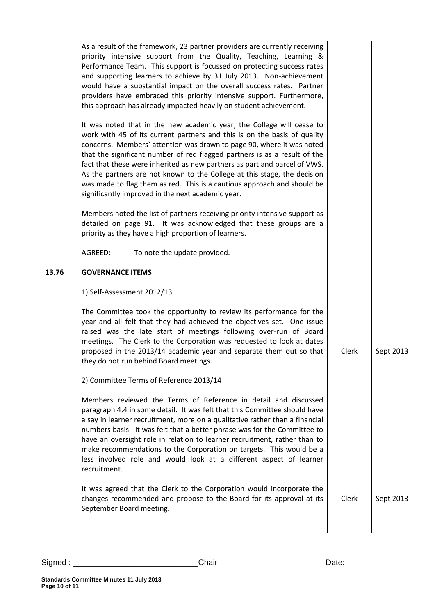|       | As a result of the framework, 23 partner providers are currently receiving<br>priority intensive support from the Quality, Teaching, Learning &<br>Performance Team. This support is focussed on protecting success rates<br>and supporting learners to achieve by 31 July 2013. Non-achievement<br>would have a substantial impact on the overall success rates. Partner<br>providers have embraced this priority intensive support. Furthermore,<br>this approach has already impacted heavily on student achievement.                                                                         |       |           |
|-------|--------------------------------------------------------------------------------------------------------------------------------------------------------------------------------------------------------------------------------------------------------------------------------------------------------------------------------------------------------------------------------------------------------------------------------------------------------------------------------------------------------------------------------------------------------------------------------------------------|-------|-----------|
|       | It was noted that in the new academic year, the College will cease to<br>work with 45 of its current partners and this is on the basis of quality<br>concerns. Members' attention was drawn to page 90, where it was noted<br>that the significant number of red flagged partners is as a result of the<br>fact that these were inherited as new partners as part and parcel of VWS.<br>As the partners are not known to the College at this stage, the decision<br>was made to flag them as red. This is a cautious approach and should be<br>significantly improved in the next academic year. |       |           |
|       | Members noted the list of partners receiving priority intensive support as<br>detailed on page 91. It was acknowledged that these groups are a<br>priority as they have a high proportion of learners.                                                                                                                                                                                                                                                                                                                                                                                           |       |           |
|       | AGREED:<br>To note the update provided.                                                                                                                                                                                                                                                                                                                                                                                                                                                                                                                                                          |       |           |
| 13.76 | <b>GOVERNANCE ITEMS</b>                                                                                                                                                                                                                                                                                                                                                                                                                                                                                                                                                                          |       |           |
|       | 1) Self-Assessment 2012/13                                                                                                                                                                                                                                                                                                                                                                                                                                                                                                                                                                       |       |           |
|       | The Committee took the opportunity to review its performance for the<br>year and all felt that they had achieved the objectives set. One issue<br>raised was the late start of meetings following over-run of Board<br>meetings. The Clerk to the Corporation was requested to look at dates<br>proposed in the 2013/14 academic year and separate them out so that<br>they do not run behind Board meetings.                                                                                                                                                                                    | Clerk | Sept 2013 |
|       | 2) Committee Terms of Reference 2013/14                                                                                                                                                                                                                                                                                                                                                                                                                                                                                                                                                          |       |           |
|       | Members reviewed the Terms of Reference in detail and discussed<br>paragraph 4.4 in some detail. It was felt that this Committee should have<br>a say in learner recruitment, more on a qualitative rather than a financial<br>numbers basis. It was felt that a better phrase was for the Committee to<br>have an oversight role in relation to learner recruitment, rather than to<br>make recommendations to the Corporation on targets. This would be a<br>less involved role and would look at a different aspect of learner<br>recruitment.                                                |       |           |
|       | It was agreed that the Clerk to the Corporation would incorporate the<br>changes recommended and propose to the Board for its approval at its<br>September Board meeting.                                                                                                                                                                                                                                                                                                                                                                                                                        | Clerk | Sept 2013 |
|       |                                                                                                                                                                                                                                                                                                                                                                                                                                                                                                                                                                                                  |       |           |